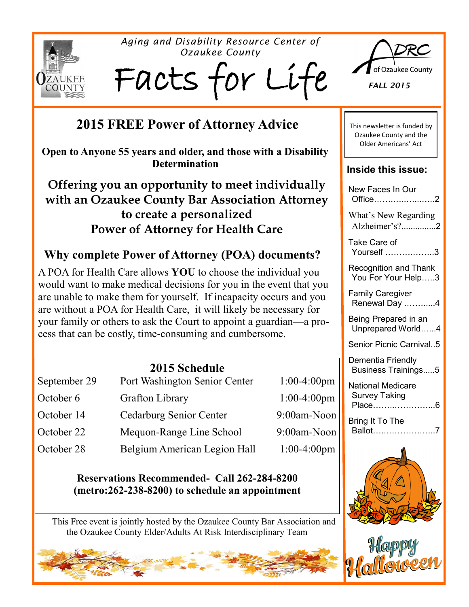

*Aging and Disability Resource Center of Ozaukee County*

Facts for Life



*FALL 2015*

This newsletter is funded by Ozaukee County and the Older Americans' Act

# **2015 FREE Power of Attorney Advice**

**Open to Anyone 55 years and older, and those with a Disability Determination**

**Offering you an opportunity to meet individually with an Ozaukee County Bar Association Attorney to create a personalized Power of Attorney for Health Care**

## **Why complete Power of Attorney (POA) documents?**

A POA for Health Care allows **YOU** to choose the individual you would want to make medical decisions for you in the event that you are unable to make them for yourself. If incapacity occurs and you are without a POA for Health Care, it will likely be necessary for your family or others to ask the Court to appoint a guardian—a process that can be costly, time-consuming and cumbersome.

### **2015 Schedule**

| September 29 | Port Washington Senior Center  | $1:00-4:00$ pm |
|--------------|--------------------------------|----------------|
| October 6    | <b>Grafton Library</b>         | $1:00-4:00$ pm |
| October 14   | <b>Cedarburg Senior Center</b> | 9:00am-Noon    |
| October 22   | Mequon-Range Line School       | 9:00am-Noon    |
| October 28   | Belgium American Legion Hall   | $1:00-4:00$ pm |

### **Reservations Recommended- Call 262-284-8200 (metro:262-238-8200) to schedule an appointment**

 This Free event is jointly hosted by the Ozaukee County Bar Association and the Ozaukee County Elder/Adults At Risk Interdisciplinary Team



| Inside this issue:                                               |  |  |
|------------------------------------------------------------------|--|--|
| New Faces In Our<br>Office                                       |  |  |
| What's New Regarding<br>Alzheimer's?                             |  |  |
| Take Care of<br>Yourself 3                                       |  |  |
| <b>Recognition and Thank</b><br>You For Your Help3               |  |  |
| <b>Family Caregiver</b><br>Renewal Day 4                         |  |  |
| Being Prepared in an<br>Unprepared World4                        |  |  |
| Senior Picnic Carnival5                                          |  |  |
| Dementia Friendly<br><b>Business Trainings5</b>                  |  |  |
| <b>National Medicare</b><br><b>Survey Taking</b><br>Place<br>- 6 |  |  |
| Bring It To The<br>Ballot                                        |  |  |
|                                                                  |  |  |
|                                                                  |  |  |

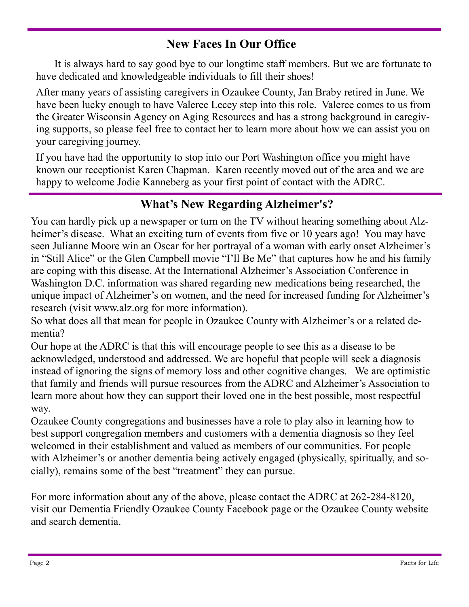## **New Faces In Our Office**

 It is always hard to say good bye to our longtime staff members. But we are fortunate to have dedicated and knowledgeable individuals to fill their shoes!

After many years of assisting caregivers in Ozaukee County, Jan Braby retired in June. We have been lucky enough to have Valeree Lecey step into this role. Valeree comes to us from the Greater Wisconsin Agency on Aging Resources and has a strong background in caregiving supports, so please feel free to contact her to learn more about how we can assist you on your caregiving journey.

If you have had the opportunity to stop into our Port Washington office you might have known our receptionist Karen Chapman. Karen recently moved out of the area and we are happy to welcome Jodie Kanneberg as your first point of contact with the ADRC.

## **What's New Regarding Alzheimer's?**

You can hardly pick up a newspaper or turn on the TV without hearing something about Alzheimer's disease. What an exciting turn of events from five or 10 years ago! You may have seen Julianne Moore win an Oscar for her portrayal of a woman with early onset Alzheimer's in "Still Alice" or the Glen Campbell movie "I'll Be Me" that captures how he and his family are coping with this disease. At the International Alzheimer's Association Conference in Washington D.C. information was shared regarding new medications being researched, the unique impact of Alzheimer's on women, and the need for increased funding for Alzheimer's research (visit [www.alz.org](http://www.alz.org) for more information).

So what does all that mean for people in Ozaukee County with Alzheimer's or a related dementia?

Our hope at the ADRC is that this will encourage people to see this as a disease to be acknowledged, understood and addressed. We are hopeful that people will seek a diagnosis instead of ignoring the signs of memory loss and other cognitive changes. We are optimistic that family and friends will pursue resources from the ADRC and Alzheimer's Association to learn more about how they can support their loved one in the best possible, most respectful way.

Ozaukee County congregations and businesses have a role to play also in learning how to best support congregation members and customers with a dementia diagnosis so they feel welcomed in their establishment and valued as members of our communities. For people with Alzheimer's or another dementia being actively engaged (physically, spiritually, and socially), remains some of the best "treatment" they can pursue.

For more information about any of the above, please contact the ADRC at 262-284-8120, visit our Dementia Friendly Ozaukee County Facebook page or the Ozaukee County website and search dementia.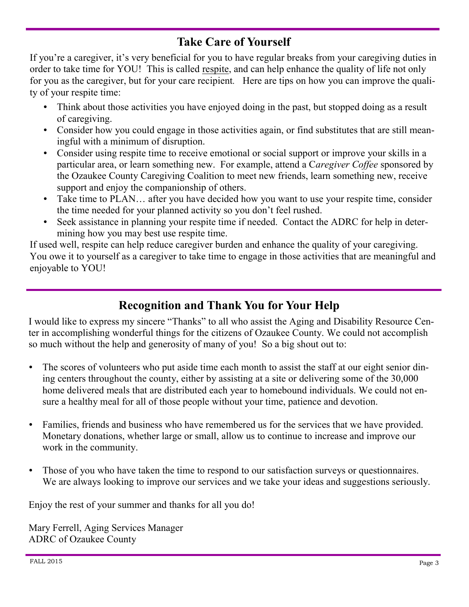## **Take Care of Yourself**

If you're a caregiver, it's very beneficial for you to have regular breaks from your caregiving duties in order to take time for YOU! This is called respite, and can help enhance the quality of life not only for you as the caregiver, but for your care recipient*.* Here are tips on how you can improve the quality of your respite time:

- Think about those activities you have enjoyed doing in the past, but stopped doing as a result of caregiving.
- Consider how you could engage in those activities again, or find substitutes that are still meaningful with a minimum of disruption.
- Consider using respite time to receive emotional or social support or improve your skills in a particular area, or learn something new. For example, attend a C*aregiver Coffee* sponsored by the Ozaukee County Caregiving Coalition to meet new friends, learn something new, receive support and enjoy the companionship of others.
- Take time to PLAN… after you have decided how you want to use your respite time, consider the time needed for your planned activity so you don't feel rushed.
- Seek assistance in planning your respite time if needed. Contact the ADRC for help in determining how you may best use respite time.

If used well, respite can help reduce caregiver burden and enhance the quality of your caregiving. You owe it to yourself as a caregiver to take time to engage in those activities that are meaningful and enjoyable to YOU!

## **Recognition and Thank You for Your Help**

I would like to express my sincere "Thanks" to all who assist the Aging and Disability Resource Center in accomplishing wonderful things for the citizens of Ozaukee County. We could not accomplish so much without the help and generosity of many of you! So a big shout out to:

- The scores of volunteers who put aside time each month to assist the staff at our eight senior dining centers throughout the county, either by assisting at a site or delivering some of the 30,000 home delivered meals that are distributed each year to homebound individuals. We could not ensure a healthy meal for all of those people without your time, patience and devotion.
- Families, friends and business who have remembered us for the services that we have provided. Monetary donations, whether large or small, allow us to continue to increase and improve our work in the community.
- Those of you who have taken the time to respond to our satisfaction surveys or questionnaires. We are always looking to improve our services and we take your ideas and suggestions seriously.

Enjoy the rest of your summer and thanks for all you do!

Mary Ferrell, Aging Services Manager ADRC of Ozaukee County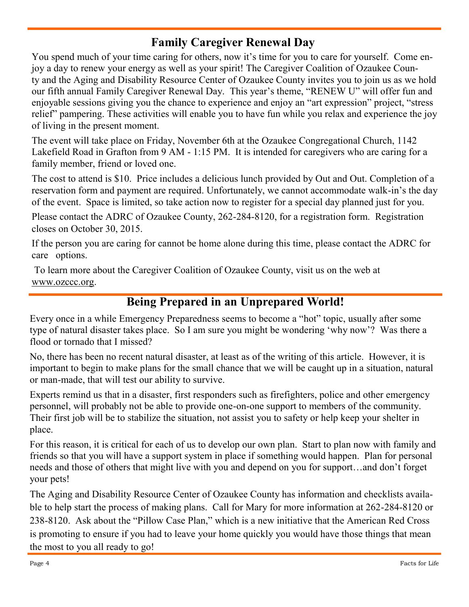## **Family Caregiver Renewal Day**

You spend much of your time caring for others, now it's time for you to care for yourself. Come enjoy a day to renew your energy as well as your spirit! The Caregiver Coalition of Ozaukee County and the Aging and Disability Resource Center of Ozaukee County invites you to join us as we hold our fifth annual Family Caregiver Renewal Day. This year's theme, "RENEW U" will offer fun and enjoyable sessions giving you the chance to experience and enjoy an "art expression" project, "stress relief" pampering. These activities will enable you to have fun while you relax and experience the joy of living in the present moment.

The event will take place on Friday, November 6th at the Ozaukee Congregational Church, 1142 Lakefield Road in Grafton from 9 AM - 1:15 PM. It is intended for caregivers who are caring for a family member, friend or loved one.

The cost to attend is \$10. Price includes a delicious lunch provided by Out and Out. Completion of a reservation form and payment are required. Unfortunately, we cannot accommodate walk-in's the day of the event. Space is limited, so take action now to register for a special day planned just for you.

Please contact the ADRC of Ozaukee County, 262-284-8120, for a registration form. Registration closes on October 30, 2015.

If the person you are caring for cannot be home alone during this time, please contact the ADRC for care options.

To learn more about the Caregiver Coalition of Ozaukee County, visit us on the web at [www.ozccc.org.](http://www.ozccc.org/)

## **Being Prepared in an Unprepared World!**

Every once in a while Emergency Preparedness seems to become a "hot" topic, usually after some type of natural disaster takes place. So I am sure you might be wondering 'why now'? Was there a flood or tornado that I missed?

No, there has been no recent natural disaster, at least as of the writing of this article. However, it is important to begin to make plans for the small chance that we will be caught up in a situation, natural or man-made, that will test our ability to survive.

Experts remind us that in a disaster, first responders such as firefighters, police and other emergency personnel, will probably not be able to provide one-on-one support to members of the community. Their first job will be to stabilize the situation, not assist you to safety or help keep your shelter in place.

For this reason, it is critical for each of us to develop our own plan. Start to plan now with family and friends so that you will have a support system in place if something would happen. Plan for personal needs and those of others that might live with you and depend on you for support…and don't forget your pets!

The Aging and Disability Resource Center of Ozaukee County has information and checklists available to help start the process of making plans. Call for Mary for more information at 262-284-8120 or 238-8120. Ask about the "Pillow Case Plan," which is a new initiative that the American Red Cross is promoting to ensure if you had to leave your home quickly you would have those things that mean the most to you all ready to go!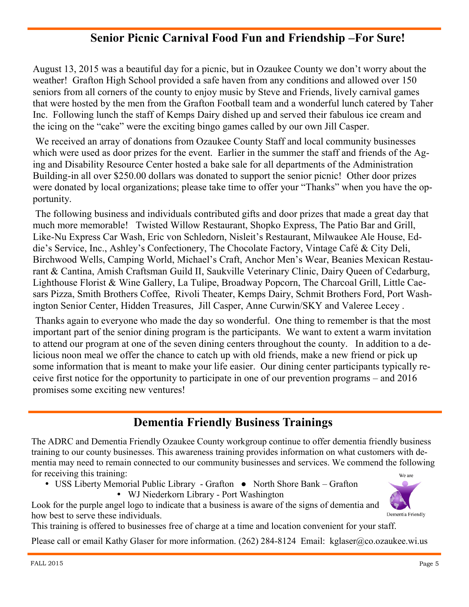## **Senior Picnic Carnival Food Fun and Friendship –For Sure!**

August 13, 2015 was a beautiful day for a picnic, but in Ozaukee County we don't worry about the weather! Grafton High School provided a safe haven from any conditions and allowed over 150 seniors from all corners of the county to enjoy music by Steve and Friends, lively carnival games that were hosted by the men from the Grafton Football team and a wonderful lunch catered by Taher Inc. Following lunch the staff of Kemps Dairy dished up and served their fabulous ice cream and the icing on the "cake" were the exciting bingo games called by our own Jill Casper.

We received an array of donations from Ozaukee County Staff and local community businesses which were used as door prizes for the event. Earlier in the summer the staff and friends of the Aging and Disability Resource Center hosted a bake sale for all departments of the Administration Building-in all over \$250.00 dollars was donated to support the senior picnic! Other door prizes were donated by local organizations; please take time to offer your "Thanks" when you have the opportunity.

The following business and individuals contributed gifts and door prizes that made a great day that much more memorable! Twisted Willow Restaurant, Shopko Express, The Patio Bar and Grill, Like-Nu Express Car Wash, Eric von Schledorn, Nisleit's Restaurant, Milwaukee Ale House, Eddie's Service, Inc., Ashley's Confectionery, The Chocolate Factory, Vintage Café & City Deli, Birchwood Wells, Camping World, Michael's Craft, Anchor Men's Wear, Beanies Mexican Restaurant & Cantina, Amish Craftsman Guild II, Saukville Veterinary Clinic, Dairy Queen of Cedarburg, Lighthouse Florist & Wine Gallery, La Tulipe, Broadway Popcorn, The Charcoal Grill, Little Caesars Pizza, Smith Brothers Coffee, Rivoli Theater, Kemps Dairy, Schmit Brothers Ford, Port Washington Senior Center, Hidden Treasures, Jill Casper, Anne Curwin/SKY and Valeree Lecey .

Thanks again to everyone who made the day so wonderful. One thing to remember is that the most important part of the senior dining program is the participants. We want to extent a warm invitation to attend our program at one of the seven dining centers throughout the county. In addition to a delicious noon meal we offer the chance to catch up with old friends, make a new friend or pick up some information that is meant to make your life easier. Our dining center participants typically receive first notice for the opportunity to participate in one of our prevention programs – and 2016 promises some exciting new ventures!

## **Dementia Friendly Business Trainings**

The ADRC and Dementia Friendly Ozaukee County workgroup continue to offer dementia friendly business training to our county businesses. This awareness training provides information on what customers with dementia may need to remain connected to our community businesses and services. We commend the following for receiving this training: We are

- USS Liberty Memorial Public Library Grafton North Shore Bank Grafton
	- WJ Niederkorn Library Port Washington

Look for the purple angel logo to indicate that a business is aware of the signs of dementia and how best to serve these individuals.

This training is offered to businesses free of charge at a time and location convenient for your staff.

Please call or email Kathy Glaser for more information. (262) 284-8124 Email: kglaser@co.ozaukee.wi.us

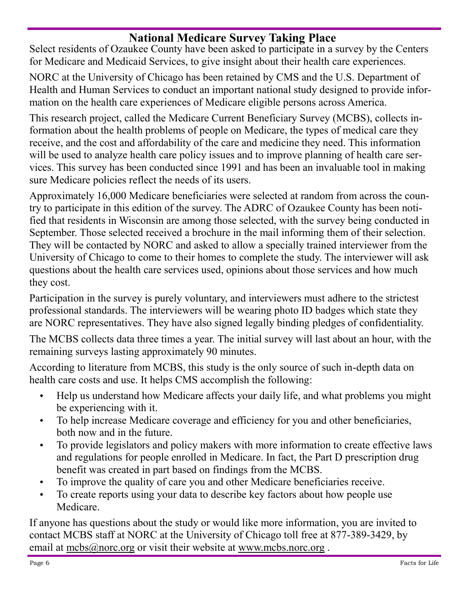## **National Medicare Survey Taking Place**

Select residents of Ozaukee County have been asked to participate in a survey by the Centers for Medicare and Medicaid Services, to give insight about their health care experiences.

NORC at the University of Chicago has been retained by CMS and the U.S. Department of Health and Human Services to conduct an important national study designed to provide information on the health care experiences of Medicare eligible persons across America.

This research project, called the Medicare Current Beneficiary Survey (MCBS), collects information about the health problems of people on Medicare, the types of medical care they receive, and the cost and affordability of the care and medicine they need. This information will be used to analyze health care policy issues and to improve planning of health care services. This survey has been conducted since 1991 and has been an invaluable tool in making sure Medicare policies reflect the needs of its users.

Approximately 16,000 Medicare beneficiaries were selected at random from across the country to participate in this edition of the survey. The ADRC of Ozaukee County has been notified that residents in Wisconsin are among those selected, with the survey being conducted in September. Those selected received a brochure in the mail informing them of their selection. They will be contacted by NORC and asked to allow a specially trained interviewer from the University of Chicago to come to their homes to complete the study. The interviewer will ask questions about the health care services used, opinions about those services and how much they cost.

Participation in the survey is purely voluntary, and interviewers must adhere to the strictest professional standards. The interviewers will be wearing photo ID badges which state they are NORC representatives. They have also signed legally binding pledges of confidentiality.

The MCBS collects data three times a year. The initial survey will last about an hour, with the remaining surveys lasting approximately 90 minutes.

According to literature from MCBS, this study is the only source of such in-depth data on health care costs and use. It helps CMS accomplish the following:

- Help us understand how Medicare affects your daily life, and what problems you might be experiencing with it.
- To help increase Medicare coverage and efficiency for you and other beneficiaries, both now and in the future.
- To provide legislators and policy makers with more information to create effective laws and regulations for people enrolled in Medicare. In fact, the Part D prescription drug benefit was created in part based on findings from the MCBS.
- To improve the quality of care you and other Medicare beneficiaries receive.
- To create reports using your data to describe key factors about how people use Medicare.

If anyone has questions about the study or would like more information, you are invited to contact MCBS staff at NORC at the University of Chicago toll free at 877-389-3429, by email at [mcbs@norc.org](mailto:mcbs@norc.org) or visit their website at [www.mcbs.norc.org](http://www.mcbs.norc.org).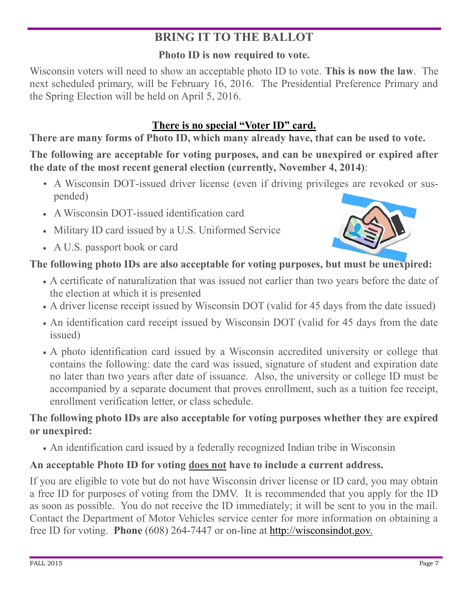# **BRING IT TO THE BALLOT**

## **Photo ID is now required to vote.**

Wisconsin voters will need to show an acceptable photo ID to vote. **This is now the law**. The next scheduled primary, will be February 16, 2016. The Presidential Preference Primary and the Spring Election will be held on April 5, 2016.

## **There is no special "Voter ID" card.**

**There are many forms of Photo ID, which many already have, that can be used to vote.**

**The following are acceptable for voting purposes, and can be unexpired or expired after the date of the most recent general election (currently, November 4, 2014)**:

- A Wisconsin DOT-issued driver license (even if driving privileges are revoked or suspended)
- A Wisconsin DOT-issued identification card
- Military ID card issued by a U.S. Uniformed Service
- A U.S. passport book or card



## **The following photo IDs are also acceptable for voting purposes, but must be unexpired:**

- A certificate of naturalization that was issued not earlier than two years before the date of the election at which it is presented
- A driver license receipt issued by Wisconsin DOT (valid for 45 days from the date issued)
- An identification card receipt issued by Wisconsin DOT (valid for 45 days from the date issued)
- A photo identification card issued by a Wisconsin accredited university or college that contains the following: date the card was issued, signature of student and expiration date no later than two years after date of issuance. Also, the university or college ID must be accompanied by a separate document that proves enrollment, such as a tuition fee receipt, enrollment verification letter, or class schedule.

## **The following photo IDs are also acceptable for voting purposes whether they are expired or unexpired:**

An identification card issued by a federally recognized Indian tribe in Wisconsin

## **An acceptable Photo ID for voting does not have to include a current address.**

If you are eligible to vote but do not have Wisconsin driver license or ID card, you may obtain a free ID for purposes of voting from the DMV. It is recommended that you apply for the ID as soon as possible. You do not receive the ID immediately; it will be sent to you in the mail. Contact the Department of Motor Vehicles service center for more information on obtaining a free ID for voting. **Phone** (608) 264-7447 or on-line at [http://wisconsindot.gov.](http://wisconsindot.gov)